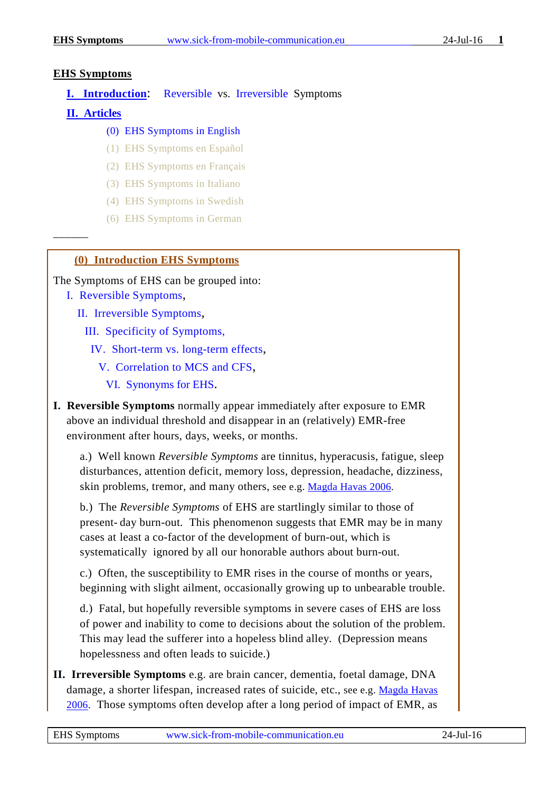#### **EHS Symptoms**

### **I. Introduction**: [Reversible](#page-0-0) vs. [Irreversible](#page-0-1) Symptoms

#### **[II. Articles](#page-2-0)**

––––––

## (0) EHS Symptoms in English

- (1) EHS Symptoms en Español
- (2) EHS Symptoms en Français
- (3) EHS Symptoms in Italiano
- (4) EHS Symptoms in Swedish
- (6) EHS Symptoms in German

### **(0) Introduction EHS Symptoms**

The Symptoms of EHS can be grouped into:

[I. Reversible Symptoms,](#page-0-0)

[II. Irreversible Symptoms,](#page-0-1)

[III. Specificity of Symptoms,](#page-1-0)

 [IV. Short-term vs. long-term effects,](#page-1-1)

[V. Correlation to MCS and CFS,](#page-1-2)

[VI. Synonyms for](#page-2-1) EHS.

<span id="page-0-0"></span>**I. Reversible Symptoms** normally appear immediately after exposure to EMR above an individual threshold and disappear in an (relatively) EMR-free environment after hours, days, weeks, or months.

a.) Well known *Reversible Symptoms* are tinnitus, hyperacusis, fatigue, sleep disturbances, attention deficit, memory loss, depression, headache, dizziness, skin problems, tremor, and many others, see e.g. [Magda Havas 2006.](#page-2-2)

b.) The *Reversible Symptoms* of EHS are startlingly similar to those of present- day burn-out. This phenomenon suggests that EMR may be in many cases at least a co-factor of the development of burn-out, which is systematically ignored by all our honorable authors about burn-out.

c.) Often, the susceptibility to EMR rises in the course of months or years, beginning with slight ailment, occasionally growing up to unbearable trouble.

d.) Fatal, but hopefully reversible symptoms in severe cases of EHS are loss of power and inability to come to decisions about the solution of the problem. This may lead the sufferer into a hopeless blind alley. (Depression means hopelessness and often leads to suicide.)

<span id="page-0-1"></span>**II. Irreversible Symptoms** e.g. are brain cancer, dementia, foetal damage, DNA damage, a shorter lifespan, increased rates of suicide, etc., see e.g. [Magda Havas](#page-2-2)  [2006.](#page-2-2) Those symptoms often develop after a long period of impact of EMR, as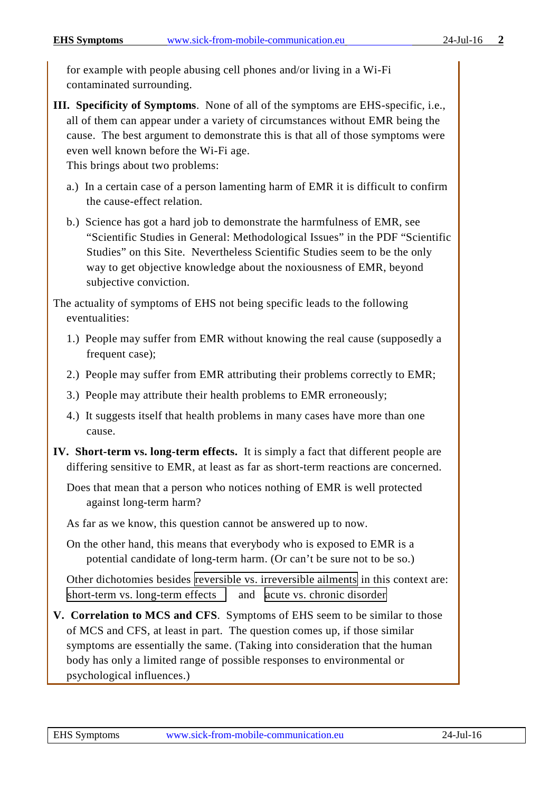for example with people abusing cell phones and/or living in a Wi-Fi contaminated surrounding.

<span id="page-1-0"></span>**III. Specificity of Symptoms**. None of all of the symptoms are EHS-specific, i.e., all of them can appear under a variety of circumstances without EMR being the cause. The best argument to demonstrate this is that all of those symptoms were even well known before the Wi-Fi age. This brings about two problems:

a.) In a certain case of a person lamenting harm of EMR it is difficult to confirm the cause-effect relation.

b.) Science has got a hard job to demonstrate the harmfulness of EMR, see "Scientific Studies in General: Methodological Issues" in the PDF "Scientific Studies" on this Site. Nevertheless Scientific Studies seem to be the only way to get objective knowledge about the noxiousness of EMR, beyond subjective conviction.

The actuality of symptoms of EHS not being specific leads to the following eventualities:

- 1.) People may suffer from EMR without knowing the real cause (supposedly a frequent case);
- 2.) People may suffer from EMR attributing their problems correctly to EMR;
- 3.) People may attribute their health problems to EMR erroneously;
- 4.) It suggests itself that health problems in many cases have more than one cause.
- <span id="page-1-1"></span>**IV. Short-term vs. long-term effects.** It is simply a fact that different people are differing sensitive to EMR, at least as far as short-term reactions are concerned.

Does that mean that a person who notices nothing of EMR is well protected against long-term harm?

As far as we know, this question cannot be answered up to now.

On the other hand, this means that everybody who is exposed to EMR is a potential candidate of long-term harm. (Or can't be sure not to be so.)

Other dichotomies besides reversible vs. irreversible ailments in this context are: short-term vs. long-term effects  $\parallel$  and acute vs. chronic disorder

<span id="page-1-2"></span>**V. Correlation to MCS and CFS**. Symptoms of EHS seem to be similar to those of MCS and CFS, at least in part. The question comes up, if those similar symptoms are essentially the same. (Taking into consideration that the human body has only a limited range of possible responses to environmental or psychological influences.)